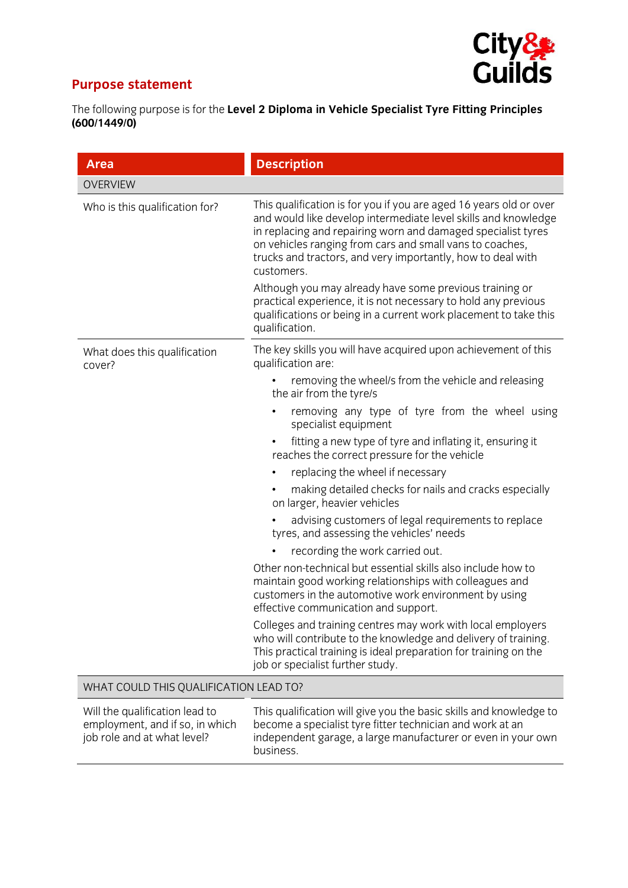

## **Purpose statement**

job role and at what level?

The following purpose is for the **Level 2 Diploma in Vehicle Specialist Tyre Fitting Principles (600/1449/0)**

| <b>Area</b>                                                                                      | <b>Description</b>                                                                                                                                                                                                                                                                                                                                                                                                                                                                                                                                               |
|--------------------------------------------------------------------------------------------------|------------------------------------------------------------------------------------------------------------------------------------------------------------------------------------------------------------------------------------------------------------------------------------------------------------------------------------------------------------------------------------------------------------------------------------------------------------------------------------------------------------------------------------------------------------------|
| <b>OVERVIEW</b>                                                                                  |                                                                                                                                                                                                                                                                                                                                                                                                                                                                                                                                                                  |
| Who is this qualification for?                                                                   | This qualification is for you if you are aged 16 years old or over<br>and would like develop intermediate level skills and knowledge<br>in replacing and repairing worn and damaged specialist tyres<br>on vehicles ranging from cars and small vans to coaches,<br>trucks and tractors, and very importantly, how to deal with<br>customers.<br>Although you may already have some previous training or<br>practical experience, it is not necessary to hold any previous<br>qualifications or being in a current work placement to take this<br>qualification. |
| What does this qualification<br>cover?                                                           | The key skills you will have acquired upon achievement of this<br>qualification are:                                                                                                                                                                                                                                                                                                                                                                                                                                                                             |
|                                                                                                  | removing the wheel/s from the vehicle and releasing<br>the air from the tyre/s                                                                                                                                                                                                                                                                                                                                                                                                                                                                                   |
|                                                                                                  | removing any type of tyre from the wheel using<br>specialist equipment                                                                                                                                                                                                                                                                                                                                                                                                                                                                                           |
|                                                                                                  | fitting a new type of tyre and inflating it, ensuring it<br>reaches the correct pressure for the vehicle                                                                                                                                                                                                                                                                                                                                                                                                                                                         |
|                                                                                                  | replacing the wheel if necessary<br>٠                                                                                                                                                                                                                                                                                                                                                                                                                                                                                                                            |
|                                                                                                  | making detailed checks for nails and cracks especially<br>on larger, heavier vehicles                                                                                                                                                                                                                                                                                                                                                                                                                                                                            |
|                                                                                                  | advising customers of legal requirements to replace<br>tyres, and assessing the vehicles' needs                                                                                                                                                                                                                                                                                                                                                                                                                                                                  |
|                                                                                                  | recording the work carried out.                                                                                                                                                                                                                                                                                                                                                                                                                                                                                                                                  |
|                                                                                                  | Other non-technical but essential skills also include how to<br>maintain good working relationships with colleagues and<br>customers in the automotive work environment by using<br>effective communication and support.                                                                                                                                                                                                                                                                                                                                         |
|                                                                                                  | Colleges and training centres may work with local employers<br>who will contribute to the knowledge and delivery of training.<br>This practical training is ideal preparation for training on the<br>job or specialist further study.                                                                                                                                                                                                                                                                                                                            |
| WHAT COULD THIS QUALIFICATION LEAD TO?                                                           |                                                                                                                                                                                                                                                                                                                                                                                                                                                                                                                                                                  |
| Will the qualification lead to<br>employment, and if so, in which<br>iob role and at what level? | This qualification will give you the basic skills and knowledge to<br>become a specialist tyre fitter technician and work at an<br>independent garage a large manufacturer or even in your own                                                                                                                                                                                                                                                                                                                                                                   |

business.

independent garage, a large manufacturer or even in your own